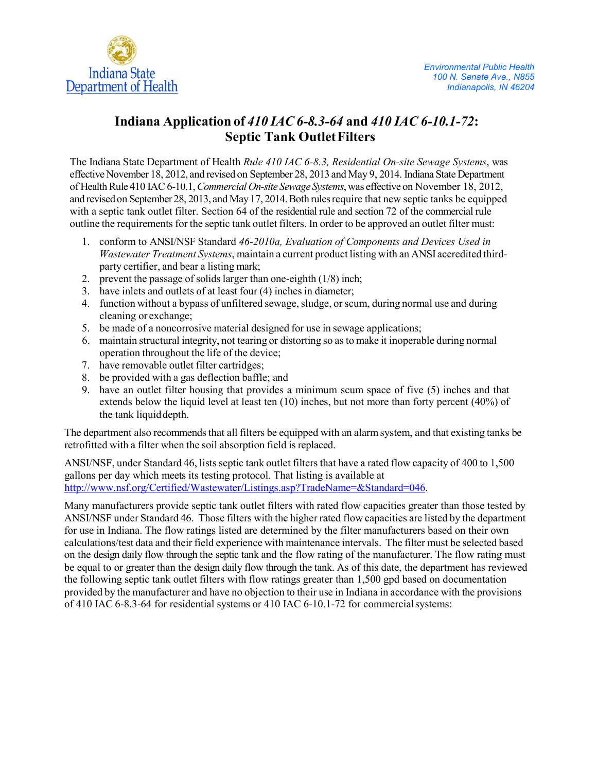

# **Indiana Application of** *410 IAC 6-8.3-64* **and** *410 IAC 6-10.1-72***: Septic Tank OutletFilters**

The Indiana State Department of Health *Rule 410 IAC 6-8.3, Residential On-site Sewage Systems*, was effective November 18, 2012, and revised on September 28, 2013 and May 9, 2014. Indiana State Department of HealthRule 410 IAC6-10.1,*Commercial On-site Sewage Systems*,was effective on November 18, 2012, and revised on September 28, 2013, and May 17, 2014. Both rules require that new septic tanks be equipped with a septic tank outlet filter. Section 64 of the residential rule and section 72 of the commercial rule outline the requirements for the septic tank outlet filters. In order to be approved an outlet filter must:

- 1. conform to ANSI/NSF Standard *46-2010a, Evaluation of Components and Devices Used in Wastewater Treatment Systems*, maintain a current product listing with an ANSI accredited thirdparty certifier, and bear a listing mark;
- 2. prevent the passage of solids larger than one-eighth (1/8) inch;
- 3. have inlets and outlets of at least four (4) inches in diameter;
- 4. function without a bypass of unfiltered sewage,sludge, or scum, during normal use and during cleaning or exchange;
- 5. be made of a noncorrosive material designed for use in sewage applications;
- 6. maintain structural integrity, not tearing or distorting so as to make it inoperable during normal operation throughout the life of the device;
- 7. have removable outlet filter cartridges;
- 8. be provided with a gas deflection baffle; and
- 9. have an outlet filter housing that provides a minimum scum space of five (5) inches and that extends below the liquid level at least ten (10) inches, but not more than forty percent (40%) of the tank liquiddepth.

The department also recommends that all filters be equipped with an alarm system, and that existing tanks be retrofitted with a filter when the soil absorption field is replaced.

ANSI/NSF, under Standard 46, lists septic tank outlet filters that have a rated flow capacity of 400 to 1,500 gallons per day which meets its testing protocol. That listing is available at [http://www.nsf.org/Certified/Wastewater/Listings.asp?TradeName=&Standard=046.](http://www.nsf.org/Certified/Wastewater/Listings.asp?TradeName&%3BStandard=046)

Many manufacturers provide septic tank outlet filters with rated flow capacities greater than those tested by ANSI/NSF under Standard 46. Those filters with the higher rated flow capacities are listed by the department for use in Indiana. The flow ratings listed are determined by the filter manufacturers based on their own calculations/test data and their field experience with maintenance intervals. The filter must be selected based on the design daily flow through the septic tank and the flow rating of the manufacturer. The flow rating must be equal to or greater than the design daily flow through the tank. As of this date, the department has reviewed the following septic tank outlet filters with flow ratings greater than 1,500 gpd based on documentation provided by the manufacturer and have no objection to their use in Indiana in accordance with the provisions of 410 IAC 6-8.3-64 for residential systems or 410 IAC 6-10.1-72 for commercialsystems: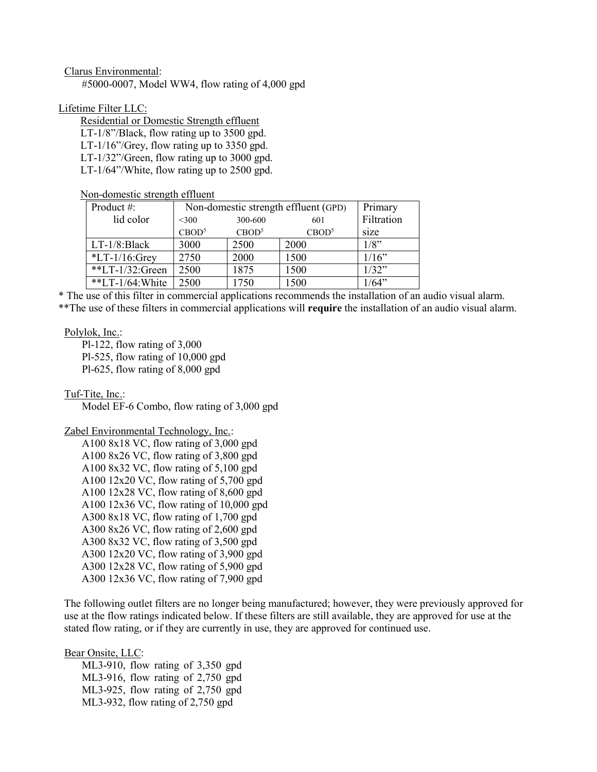## Clarus Environmental:

#5000-0007, Model WW4, flow rating of 4,000 gpd

# Lifetime Filter LLC:

Residential or Domestic Strength effluent LT-1/8"/Black, flow rating up to 3500 gpd. LT-1/16"/Grey, flow rating up to 3350 gpd. LT-1/32"/Green, flow rating up to 3000 gpd. LT-1/64"/White, flow rating up to 2500 gpd.

# Non-domestic strength effluent

| Product $#$ :        | Non-domestic strength effluent (GPD) |                   |                   | Primary    |
|----------------------|--------------------------------------|-------------------|-------------------|------------|
| lid color            | $<$ 300                              | 300-600           | 601               | Filtration |
|                      | CBOD <sup>5</sup>                    | CBOD <sup>5</sup> | CBOD <sup>5</sup> | size       |
| $LT-1/8$ : Black     | 3000                                 | 2500              | 2000              | $1/8$ "    |
| $*LT-1/16$ : Grey    | 2750                                 | 2000              | 1500              | 1/16"      |
| **LT- $1/32$ :Green  | 2500                                 | 1875              | 1500              | 1/32"      |
| **LT- $1/64$ : White | 2500                                 | 1750              | 1500              | 1/64"      |

\* The use of this filter in commercial applications recommends the installation of an audio visual alarm. \*\*The use of these filters in commercial applications will **require** the installation of an audio visual alarm.

## Polylok, Inc.:

Pl-122, flow rating of 3,000 Pl-525, flow rating of 10,000 gpd Pl-625, flow rating of 8,000 gpd

Tuf-Tite, Inc.:

Model EF-6 Combo, flow rating of 3,000 gpd

## Zabel Environmental Technology, Inc.:

A100 8x18 VC, flow rating of 3,000 gpd A100 8x26 VC, flow rating of 3,800 gpd A100 8x32 VC, flow rating of 5,100 gpd A100 12x20 VC, flow rating of 5,700 gpd A100 12x28 VC, flow rating of 8,600 gpd A100 12x36 VC, flow rating of 10,000 gpd A300 8x18 VC, flow rating of 1,700 gpd A300 8x26 VC, flow rating of 2,600 gpd A300 8x32 VC, flow rating of 3,500 gpd A300 12x20 VC, flow rating of 3,900 gpd A300 12x28 VC, flow rating of 5,900 gpd A300 12x36 VC, flow rating of 7,900 gpd

The following outlet filters are no longer being manufactured; however, they were previously approved for use at the flow ratings indicated below. If these filters are still available, they are approved for use at the stated flow rating, or if they are currently in use, they are approved for continued use.

Bear Onsite, LLC:

ML3-910, flow rating of 3,350 gpd ML3-916, flow rating of 2,750 gpd ML3-925, flow rating of 2,750 gpd ML3-932, flow rating of 2,750 gpd